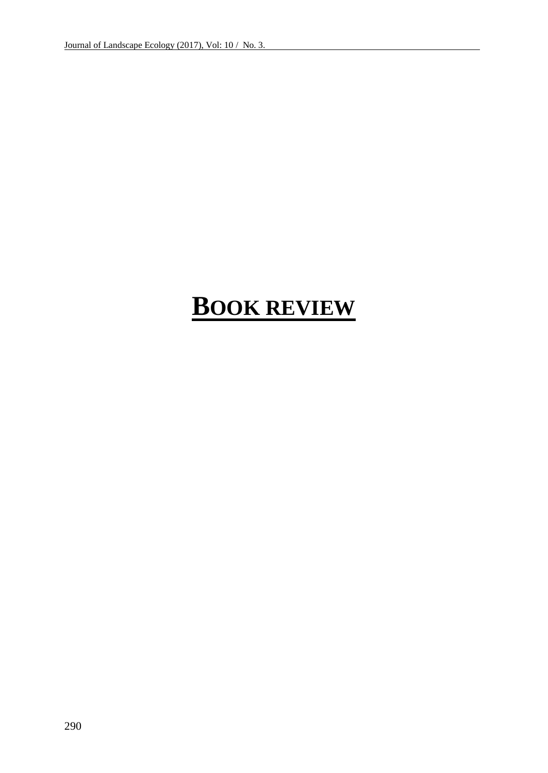## **BOOK REVIEW**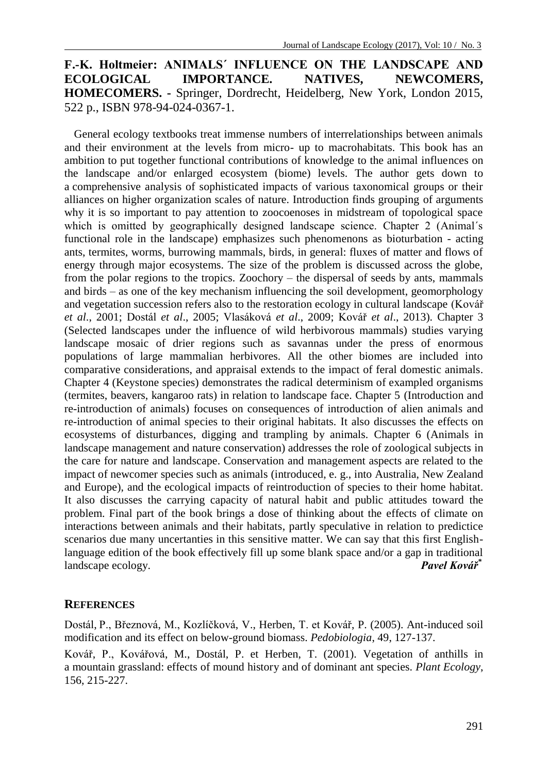**F.-K. Holtmeier: ANIMALS´ INFLUENCE ON THE LANDSCAPE AND ECOLOGICAL IMPORTANCE. NATIVES, NEWCOMERS, HOMECOMERS. -** Springer, Dordrecht, Heidelberg, New York, London 2015, 522 p., ISBN 978-94-024-0367-1.

General ecology textbooks treat immense numbers of interrelationships between animals and their environment at the levels from micro- up to macrohabitats. This book has an ambition to put together functional contributions of knowledge to the animal influences on the landscape and/or enlarged ecosystem (biome) levels. The author gets down to a comprehensive analysis of sophisticated impacts of various taxonomical groups or their alliances on higher organization scales of nature. Introduction finds grouping of arguments why it is so important to pay attention to zoocoenoses in midstream of topological space which is omitted by geographically designed landscape science. Chapter 2 (Animal's functional role in the landscape) emphasizes such phenomenons as bioturbation - acting ants, termites, worms, burrowing mammals, birds, in general: fluxes of matter and flows of energy through major ecosystems. The size of the problem is discussed across the globe, from the polar regions to the tropics. Zoochory – the dispersal of seeds by ants, mammals and birds – as one of the key mechanism influencing the soil development, geomorphology and vegetation succession refers also to the restoration ecology in cultural landscape (Kovář *et al*., 2001; Dostál *et al*., 2005; Vlasáková *et al*., 2009; Kovář *et al*., 2013). Chapter 3 (Selected landscapes under the influence of wild herbivorous mammals) studies varying landscape mosaic of drier regions such as savannas under the press of enormous populations of large mammalian herbivores. All the other biomes are included into comparative considerations, and appraisal extends to the impact of feral domestic animals. Chapter 4 (Keystone species) demonstrates the radical determinism of exampled organisms (termites, beavers, kangaroo rats) in relation to landscape face. Chapter 5 (Introduction and re-introduction of animals) focuses on consequences of introduction of alien animals and re-introduction of animal species to their original habitats. It also discusses the effects on ecosystems of disturbances, digging and trampling by animals. Chapter 6 (Animals in landscape management and nature conservation) addresses the role of zoological subjects in the care for nature and landscape. Conservation and management aspects are related to the impact of newcomer species such as animals (introduced, e. g., into Australia, New Zealand and Europe), and the ecological impacts of reintroduction of species to their home habitat. It also discusses the carrying capacity of natural habit and public attitudes toward the problem. Final part of the book brings a dose of thinking about the effects of climate on interactions between animals and their habitats, partly speculative in relation to predictice scenarios due many uncertanties in this sensitive matter. We can say that this first Englishlanguage edition of the book effectively fill up some blank space and/or a gap in traditional landscape ecology. *Pavel Kovář\**

## **REFERENCES**

Dostál, P., Březnová, M., Kozlíčková, V., Herben, T. et Kovář, P. (2005). Ant-induced soil modification and its effect on below-ground biomass. *Pedobiologia*, 49, 127-137.

Kovář, P., Kovářová, M., Dostál, P. et Herben, T. (2001). Vegetation of anthills in a mountain grassland: effects of mound history and of dominant ant species. *Plant Ecology*, 156, 215-227.